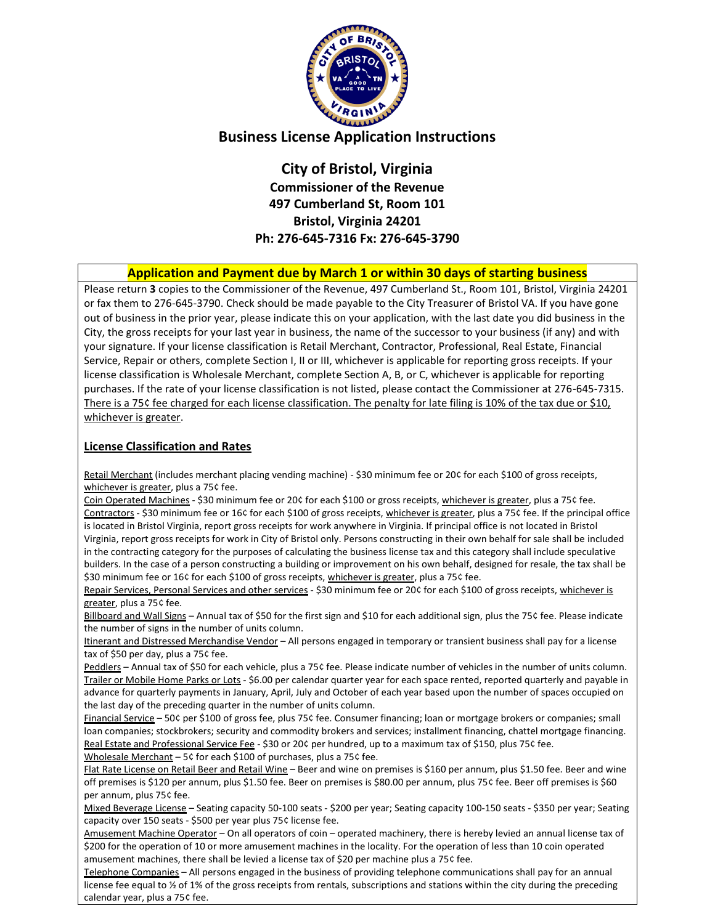

# **Business License Application Instructions**

**City of Bristol, Virginia Commissioner of the Revenue 497 Cumberland St, Room 101 Bristol, Virginia 24201 Ph: 276-645-7316 Fx: 276-645-3790**

### **Application and Payment due by March 1 or within 30 days of starting business**

Please return **3** copies to the Commissioner of the Revenue, 497 Cumberland St., Room 101, Bristol, Virginia 24201 or fax them to 276-645-3790. Check should be made payable to the City Treasurer of Bristol VA. If you have gone out of business in the prior year, please indicate this on your application, with the last date you did business in the City, the gross receipts for your last year in business, the name of the successor to your business (if any) and with your signature. If your license classification is Retail Merchant, Contractor, Professional, Real Estate, Financial Service, Repair or others, complete Section I, II or III, whichever is applicable for reporting gross receipts. If your license classification is Wholesale Merchant, complete Section A, B, or C, whichever is applicable for reporting purchases. If the rate of your license classification is not listed, please contact the Commissioner at 276-645-7315. There is a 75¢ fee charged for each license classification. The penalty for late filing is 10% of the tax due or \$10, whichever is greater.

#### **License Classification and Rates**

Retail Merchant (includes merchant placing vending machine) - \$30 minimum fee or 20¢ for each \$100 of gross receipts, whichever is greater, plus a 75¢ fee.

Coin Operated Machines - \$30 minimum fee or 20¢ for each \$100 or gross receipts, whichever is greater, plus a 75¢ fee. Contractors - \$30 minimum fee or 16¢ for each \$100 of gross receipts, whichever is greater, plus a 75¢ fee. If the principal office is located in Bristol Virginia, report gross receipts for work anywhere in Virginia. If principal office is not located in Bristol Virginia, report gross receipts for work in City of Bristol only. Persons constructing in their own behalf for sale shall be included in the contracting category for the purposes of calculating the business license tax and this category shall include speculative builders. In the case of a person constructing a building or improvement on his own behalf, designed for resale, the tax shall be \$30 minimum fee or 16¢ for each \$100 of gross receipts, whichever is greater, plus a 75¢ fee.

Repair Services, Personal Services and other services - \$30 minimum fee or 20¢ for each \$100 of gross receipts, whichever is greater, plus a 75¢ fee.

Billboard and Wall Signs – Annual tax of \$50 for the first sign and \$10 for each additional sign, plus the 75¢ fee. Please indicate the number of signs in the number of units column.

Itinerant and Distressed Merchandise Vendor - All persons engaged in temporary or transient business shall pay for a license tax of \$50 per day, plus a 75¢ fee.

Peddlers – Annual tax of \$50 for each vehicle, plus a 75¢ fee. Please indicate number of vehicles in the number of units column. Trailer or Mobile Home Parks or Lots - \$6.00 per calendar quarter year for each space rented, reported quarterly and payable in advance for quarterly payments in January, April, July and October of each year based upon the number of spaces occupied on the last day of the preceding quarter in the number of units column.

Financial Service – 50¢ per \$100 of gross fee, plus 75¢ fee. Consumer financing; loan or mortgage brokers or companies; small loan companies; stockbrokers; security and commodity brokers and services; installment financing, chattel mortgage financing. Real Estate and Professional Service Fee - \$30 or 20¢ per hundred, up to a maximum tax of \$150, plus 75¢ fee. Wholesale Merchant – 5¢ for each \$100 of purchases, plus a 75¢ fee.

Flat Rate License on Retail Beer and Retail Wine - Beer and wine on premises is \$160 per annum, plus \$1.50 fee. Beer and wine off premises is \$120 per annum, plus \$1.50 fee. Beer on premises is \$80.00 per annum, plus 75¢ fee. Beer off premises is \$60 per annum, plus 75¢ fee.

Mixed Beverage License – Seating capacity 50-100 seats - \$200 per year; Seating capacity 100-150 seats - \$350 per year; Seating capacity over 150 seats - \$500 per year plus 75¢ license fee.

Amusement Machine Operator – On all operators of coin – operated machinery, there is hereby levied an annual license tax of \$200 for the operation of 10 or more amusement machines in the locality. For the operation of less than 10 coin operated amusement machines, there shall be levied a license tax of \$20 per machine plus a 75¢ fee.

Telephone Companies – All persons engaged in the business of providing telephone communications shall pay for an annual license fee equal to % of 1% of the gross receipts from rentals, subscriptions and stations within the city during the preceding calendar year, plus a 75¢ fee.